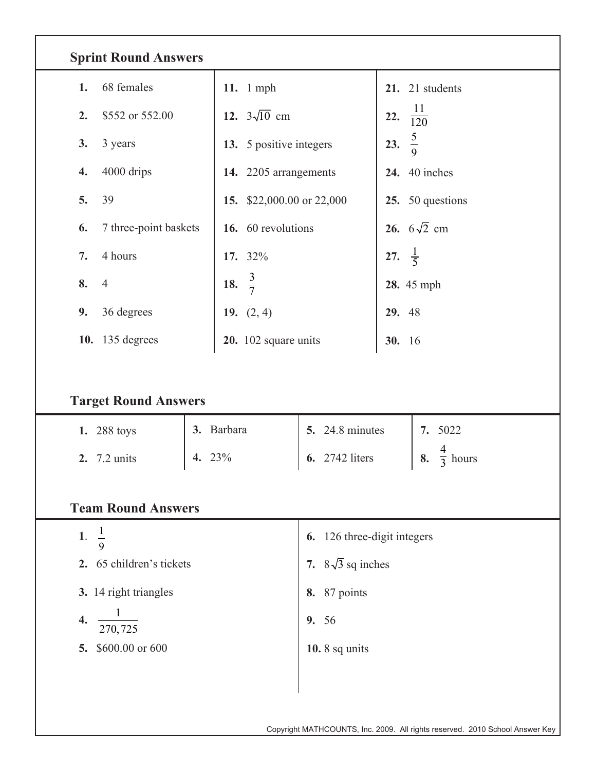| <b>Sprint Round Answers</b> |                          |                           |                         |                             |  |  |  |  |  |  |
|-----------------------------|--------------------------|---------------------------|-------------------------|-----------------------------|--|--|--|--|--|--|
| 68 females<br>1.            | 11. 1 mph                |                           | 21. 21 students         |                             |  |  |  |  |  |  |
| 2.<br>\$552 or 552.00       | 12. $3\sqrt{10}$ cm      |                           | $\frac{11}{120}$<br>22. |                             |  |  |  |  |  |  |
| 3.<br>3 years               |                          | 13. 5 positive integers   |                         | $rac{5}{9}$<br>23.          |  |  |  |  |  |  |
| 4000 drips<br>4.            |                          | 14. 2205 arrangements     |                         | <b>24.</b> 40 inches        |  |  |  |  |  |  |
| 39<br>5.                    |                          | 15. \$22,000.00 or 22,000 |                         | 25. 50 questions            |  |  |  |  |  |  |
| 7 three-point baskets<br>6. |                          | 16. 60 revolutions        |                         | 26. $6\sqrt{2}$ cm          |  |  |  |  |  |  |
| 4 hours<br>7.               | 17. 32%                  |                           |                         | $\frac{1}{5}$<br>27.        |  |  |  |  |  |  |
| 8.<br>$\overline{4}$        | 18. $\frac{3}{7}$        |                           |                         | 28. 45 mph                  |  |  |  |  |  |  |
| 9.<br>36 degrees            | 19. $(2, 4)$             |                           |                         | 29. 48                      |  |  |  |  |  |  |
| 135 degrees<br>10.          |                          | 20. 102 square units      |                         | 30. 16                      |  |  |  |  |  |  |
| <b>Target Round Answers</b> |                          |                           |                         |                             |  |  |  |  |  |  |
| 1. 288 toys                 | 3. Barbara               | <b>5.</b> 24.8 minutes    | 7. 5022                 |                             |  |  |  |  |  |  |
| 7.2 units<br>2.             | 4. 23%                   | 2742 liters<br>6.         | 8.                      | $\overline{3}$ hours        |  |  |  |  |  |  |
| <b>Team Round Answers</b>   |                          |                           |                         |                             |  |  |  |  |  |  |
| $rac{1}{9}$<br>1.           |                          |                           |                         | 6. 126 three-digit integers |  |  |  |  |  |  |
| 2. 65 children's tickets    | 7. $8\sqrt{3}$ sq inches |                           |                         |                             |  |  |  |  |  |  |
| 3. 14 right triangles       | <b>8.</b> 87 points      |                           |                         |                             |  |  |  |  |  |  |
| 4.<br>$\overline{270,725}$  | 9. 56                    |                           |                         |                             |  |  |  |  |  |  |
| 5. \$600.00 or 600          |                          | 10.8 sq units             |                         |                             |  |  |  |  |  |  |
|                             |                          |                           |                         |                             |  |  |  |  |  |  |
|                             |                          |                           |                         |                             |  |  |  |  |  |  |